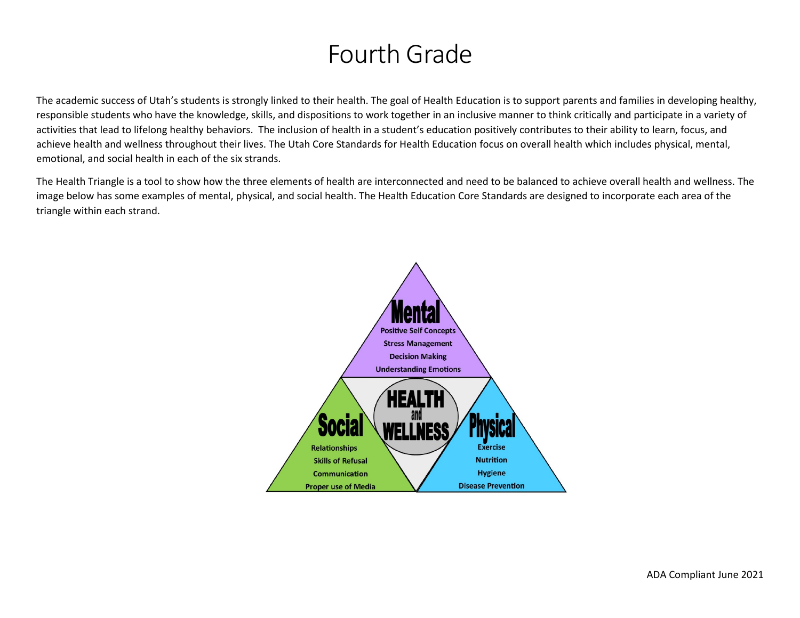# Fourth Grade

The academic success of Utah's students is strongly linked to their health. The goal of Health Education is to support parents and families in developing healthy, responsible students who have the knowledge, skills, and dispositions to work together in an inclusive manner to think critically and participate in a variety of activities that lead to lifelong healthy behaviors. The inclusion of health in a student's education positively contributes to their ability to learn, focus, and achieve health and wellness throughout their lives. The Utah Core Standards for Health Education focus on overall health which includes physical, mental, emotional, and social health in each of the six strands.

The Health Triangle is a tool to show how the three elements of health are interconnected and need to be balanced to achieve overall health and wellness. The image below has some examples of mental, physical, and social health. The Health Education Core Standards are designed to incorporate each area of the triangle within each strand.

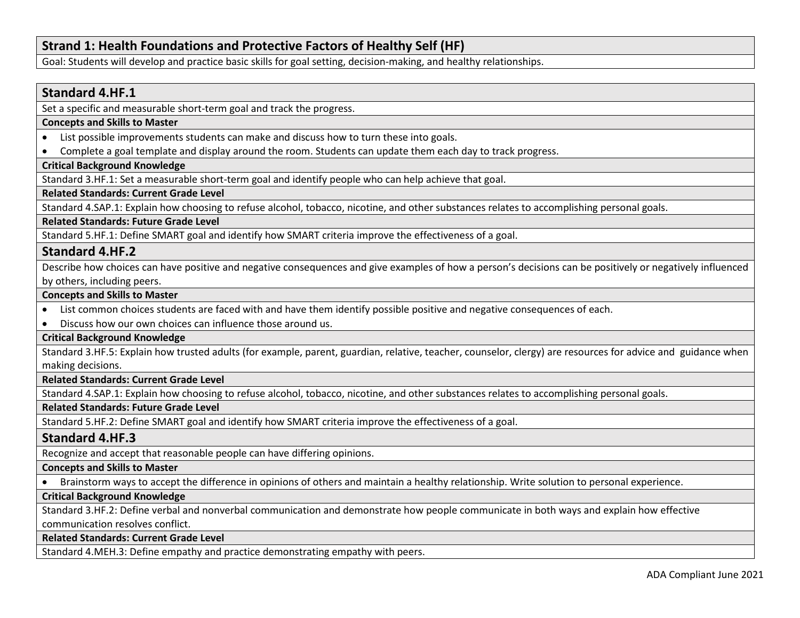## **Strand 1: Health Foundations and Protective Factors of Healthy Self (HF)**

Goal: Students will develop and practice basic skills for goal setting, decision-making, and healthy relationships.

### **Standard 4.HF.1**

Set a specific and measurable short-term goal and track the progress.

### **Concepts and Skills to Master**

- List possible improvements students can make and discuss how to turn these into goals.
- Complete a goal template and display around the room. Students can update them each day to track progress.

### **Critical Background Knowledge**

Standard 3.HF.1: Set a measurable short-term goal and identify people who can help achieve that goal.

### **Related Standards: Current Grade Level**

Standard 4.SAP.1: Explain how choosing to refuse alcohol, tobacco, nicotine, and other substances relates to accomplishing personal goals.

### **Related Standards: Future Grade Level**

Standard 5.HF.1: Define SMART goal and identify how SMART criteria improve the effectiveness of a goal.

### **Standard 4.HF.2**

Describe how choices can have positive and negative consequences and give examples of how a person's decisions can be positively or negatively influenced by others, including peers.

### **Concepts and Skills to Master**

- List common choices students are faced with and have them identify possible positive and negative consequences of each.
- Discuss how our own choices can influence those around us.

### **Critical Background Knowledge**

Standard 3.HF.5: Explain how trusted adults (for example, parent, guardian, relative, teacher, counselor, clergy) are resources for advice and guidance when making decisions.

### **Related Standards: Current Grade Level**

Standard 4.SAP.1: Explain how choosing to refuse alcohol, tobacco, nicotine, and other substances relates to accomplishing personal goals.

### **Related Standards: Future Grade Level**

Standard 5.HF.2: Define SMART goal and identify how SMART criteria improve the effectiveness of a goal.

### **Standard 4.HF.3**

Recognize and accept that reasonable people can have differing opinions.

### **Concepts and Skills to Master**

• Brainstorm ways to accept the difference in opinions of others and maintain a healthy relationship. Write solution to personal experience.

### **Critical Background Knowledge**

Standard 3.HF.2: Define verbal and nonverbal communication and demonstrate how people communicate in both ways and explain how effective communication resolves conflict.

#### **Related Standards: Current Grade Level**

Standard 4.MEH.3: Define empathy and practice demonstrating empathy with peers.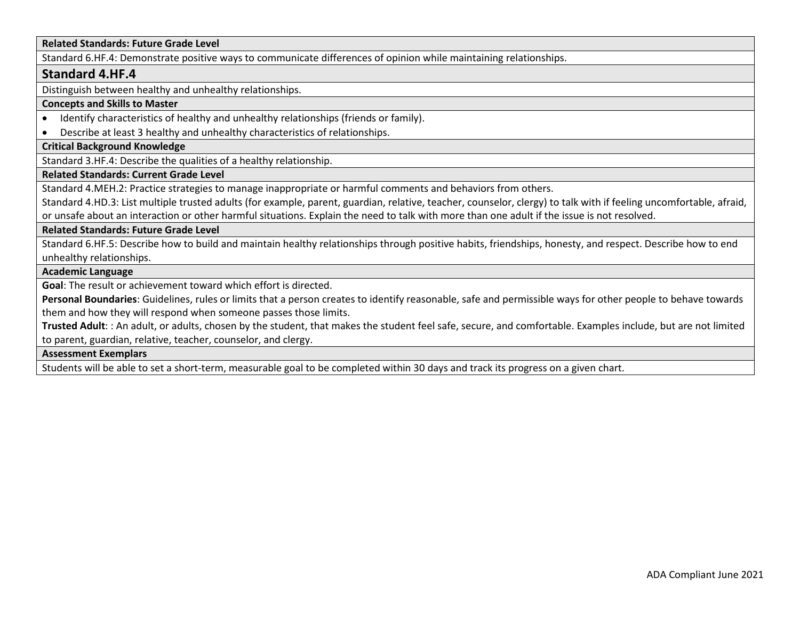### **Related Standards: Future Grade Level**

Standard 6.HF.4: Demonstrate positive ways to communicate differences of opinion while maintaining relationships.

### **Standard 4.HF.4**

Distinguish between healthy and unhealthy relationships.

#### **Concepts and Skills to Master**

- Identify characteristics of healthy and unhealthy relationships (friends or family).
- Describe at least 3 healthy and unhealthy characteristics of relationships.

### **Critical Background Knowledge**

Standard 3.HF.4: Describe the qualities of a healthy relationship.

### **Related Standards: Current Grade Level**

Standard 4.MEH.2: Practice strategies to manage inappropriate or harmful comments and behaviors from others.

Standard 4.HD.3: List multiple trusted adults (for example, parent, guardian, relative, teacher, counselor, clergy) to talk with if feeling uncomfortable, afraid, or unsafe about an interaction or other harmful situations. Explain the need to talk with more than one adult if the issue is not resolved.

#### **Related Standards: Future Grade Level**

Standard 6.HF.5: Describe how to build and maintain healthy relationships through positive habits, friendships, honesty, and respect. Describe how to end unhealthy relationships.

#### **Academic Language**

**Goal**: The result or achievement toward which effort is directed.

**Personal Boundaries**: Guidelines, rules or limits that a person creates to identify reasonable, safe and permissible ways for other people to behave towards them and how they will respond when someone passes those limits.

**Trusted Adult**: : An adult, or adults, chosen by the student, that makes the student feel safe, secure, and comfortable. Examples include, but are not limited to parent, guardian, relative, teacher, counselor, and clergy.

### **Assessment Exemplars**

Students will be able to set a short-term, measurable goal to be completed within 30 days and track its progress on a given chart.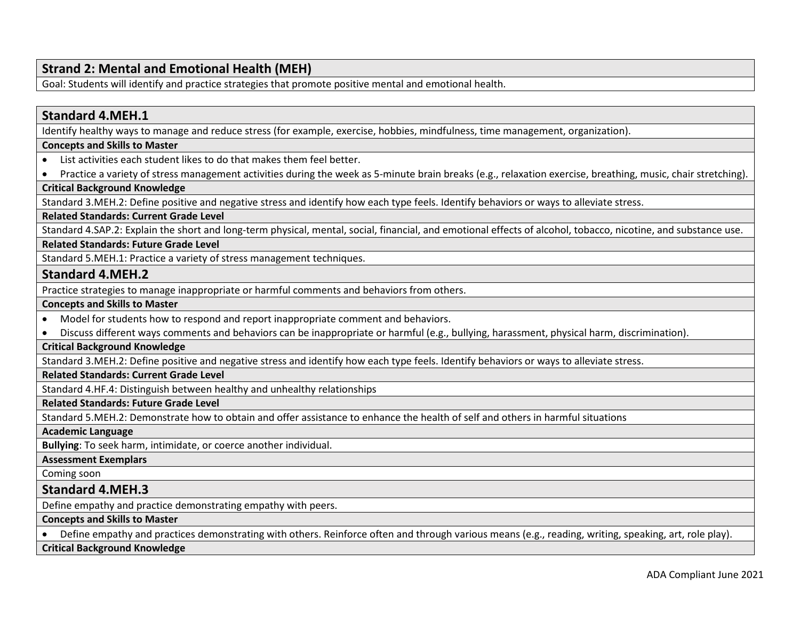# **Strand 2: Mental and Emotional Health (MEH)**

Goal: Students will identify and practice strategies that promote positive mental and emotional health.

| <b>Standard 4.MEH.1</b>                                                                                                                                           |
|-------------------------------------------------------------------------------------------------------------------------------------------------------------------|
| Identify healthy ways to manage and reduce stress (for example, exercise, hobbies, mindfulness, time management, organization).                                   |
| <b>Concepts and Skills to Master</b>                                                                                                                              |
| List activities each student likes to do that makes them feel better.<br>$\bullet$                                                                                |
| Practice a variety of stress management activities during the week as 5-minute brain breaks (e.g., relaxation exercise, breathing, music, chair stretching).<br>٠ |
| <b>Critical Background Knowledge</b>                                                                                                                              |
| Standard 3.MEH.2: Define positive and negative stress and identify how each type feels. Identify behaviors or ways to alleviate stress.                           |
| <b>Related Standards: Current Grade Level</b>                                                                                                                     |
| Standard 4.SAP.2: Explain the short and long-term physical, mental, social, financial, and emotional effects of alcohol, tobacco, nicotine, and substance use.    |
| <b>Related Standards: Future Grade Level</b>                                                                                                                      |
| Standard 5.MEH.1: Practice a variety of stress management techniques.                                                                                             |
| <b>Standard 4.MEH.2</b>                                                                                                                                           |
| Practice strategies to manage inappropriate or harmful comments and behaviors from others.                                                                        |
| <b>Concepts and Skills to Master</b>                                                                                                                              |
| Model for students how to respond and report inappropriate comment and behaviors.<br>$\bullet$                                                                    |
| Discuss different ways comments and behaviors can be inappropriate or harmful (e.g., bullying, harassment, physical harm, discrimination).                        |
| <b>Critical Background Knowledge</b>                                                                                                                              |
| Standard 3.MEH.2: Define positive and negative stress and identify how each type feels. Identify behaviors or ways to alleviate stress.                           |
| <b>Related Standards: Current Grade Level</b>                                                                                                                     |
| Standard 4.HF.4: Distinguish between healthy and unhealthy relationships                                                                                          |
| <b>Related Standards: Future Grade Level</b>                                                                                                                      |
| Standard 5.MEH.2: Demonstrate how to obtain and offer assistance to enhance the health of self and others in harmful situations                                   |
| <b>Academic Language</b>                                                                                                                                          |
| Bullying: To seek harm, intimidate, or coerce another individual.                                                                                                 |
| <b>Assessment Exemplars</b>                                                                                                                                       |
| Coming soon                                                                                                                                                       |
| <b>Standard 4.MEH.3</b>                                                                                                                                           |
| Define empathy and practice demonstrating empathy with peers.                                                                                                     |
| <b>Concepts and Skills to Master</b>                                                                                                                              |
| Define empathy and practices demonstrating with others. Reinforce often and through various means (e.g., reading, writing, speaking, art, role play).             |
| <b>Critical Background Knowledge</b>                                                                                                                              |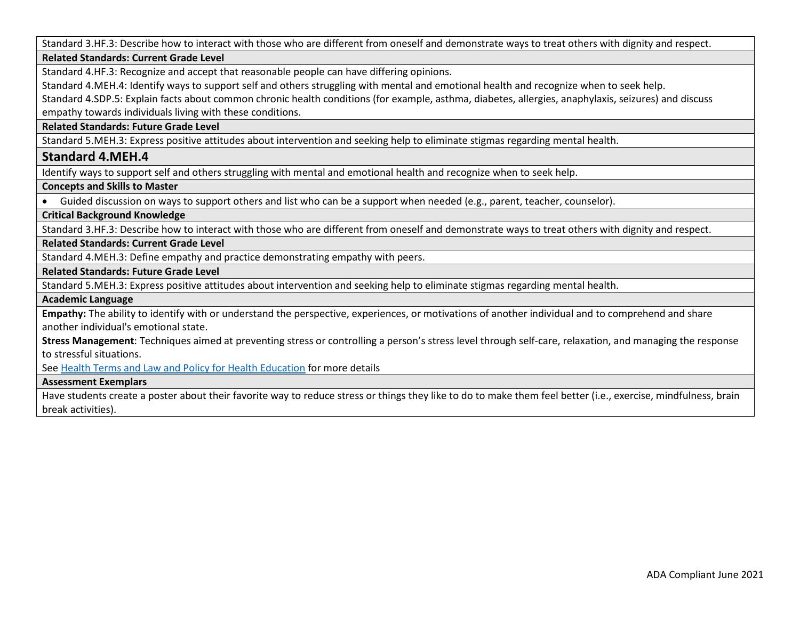Standard 3.HF.3: Describe how to interact with those who are different from oneself and demonstrate ways to treat others with dignity and respect.

### **Related Standards: Current Grade Level**

Standard 4.HF.3: Recognize and accept that reasonable people can have differing opinions.

Standard 4.MEH.4: Identify ways to support self and others struggling with mental and emotional health and recognize when to seek help.

Standard 4.SDP.5: Explain facts about common chronic health conditions (for example, asthma, diabetes, allergies, anaphylaxis, seizures) and discuss empathy towards individuals living with these conditions.

#### **Related Standards: Future Grade Level**

Standard 5.MEH.3: Express positive attitudes about intervention and seeking help to eliminate stigmas regarding mental health.

### **Standard 4.MEH.4**

Identify ways to support self and others struggling with mental and emotional health and recognize when to seek help.

### **Concepts and Skills to Master**

• Guided discussion on ways to support others and list who can be a support when needed (e.g., parent, teacher, counselor).

### **Critical Background Knowledge**

Standard 3.HF.3: Describe how to interact with those who are different from oneself and demonstrate ways to treat others with dignity and respect.

### **Related Standards: Current Grade Level**

Standard 4.MEH.3: Define empathy and practice demonstrating empathy with peers.

### **Related Standards: Future Grade Level**

Standard 5.MEH.3: Express positive attitudes about intervention and seeking help to eliminate stigmas regarding mental health.

#### **Academic Language**

**Empathy:** The ability to identify with or understand the perspective, experiences, or motivations of another individual and to comprehend and share another individual's emotional state.

**Stress Management**: Techniques aimed at preventing stress or controlling a person's stress level through self-care, relaxation, and managing the response to stressful situations.

See [Health Terms and Law and Policy for Health Education](https://schools.utah.gov/file/79acf6fe-5e26-4f46-9374-116b785e9147) for more details

#### **Assessment Exemplars**

Have students create a poster about their favorite way to reduce stress or things they like to do to make them feel better (i.e., exercise, mindfulness, brain break activities).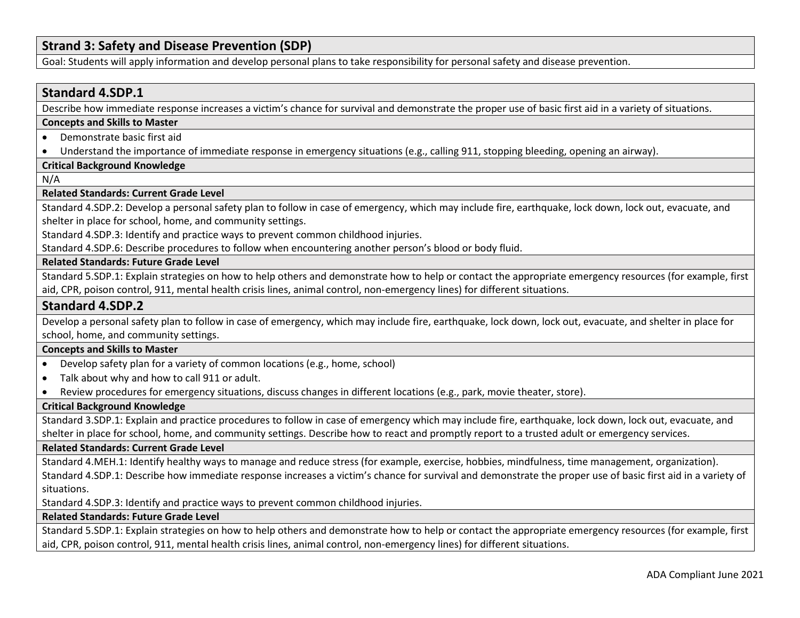### **Strand 3: Safety and Disease Prevention (SDP)**

Goal: Students will apply information and develop personal plans to take responsibility for personal safety and disease prevention.

### **Standard 4.SDP.1**

Describe how immediate response increases a victim's chance for survival and demonstrate the proper use of basic first aid in a variety of situations.

#### **Concepts and Skills to Master**

• Demonstrate basic first aid

• Understand the importance of immediate response in emergency situations (e.g., calling 911, stopping bleeding, opening an airway).

#### **Critical Background Knowledge**

N/A

#### **Related Standards: Current Grade Level**

Standard 4.SDP.2: Develop a personal safety plan to follow in case of emergency, which may include fire, earthquake, lock down, lock out, evacuate, and shelter in place for school, home, and community settings.

Standard 4.SDP.3: Identify and practice ways to prevent common childhood injuries.

Standard 4.SDP.6: Describe procedures to follow when encountering another person's blood or body fluid.

### **Related Standards: Future Grade Level**

Standard 5.SDP.1: Explain strategies on how to help others and demonstrate how to help or contact the appropriate emergency resources (for example, first aid, CPR, poison control, 911, mental health crisis lines, animal control, non-emergency lines) for different situations.

### **Standard 4.SDP.2**

Develop a personal safety plan to follow in case of emergency, which may include fire, earthquake, lock down, lock out, evacuate, and shelter in place for school, home, and community settings.

### **Concepts and Skills to Master**

- Develop safety plan for a variety of common locations (e.g., home, school)
- Talk about why and how to call 911 or adult.
- Review procedures for emergency situations, discuss changes in different locations (e.g., park, movie theater, store).

### **Critical Background Knowledge**

Standard 3.SDP.1: Explain and practice procedures to follow in case of emergency which may include fire, earthquake, lock down, lock out, evacuate, and shelter in place for school, home, and community settings. Describe how to react and promptly report to a trusted adult or emergency services.

#### **Related Standards: Current Grade Level**

Standard 4.MEH.1: Identify healthy ways to manage and reduce stress (for example, exercise, hobbies, mindfulness, time management, organization). Standard 4.SDP.1: Describe how immediate response increases a victim's chance for survival and demonstrate the proper use of basic first aid in a variety of situations.

Standard 4.SDP.3: Identify and practice ways to prevent common childhood injuries.

### **Related Standards: Future Grade Level**

Standard 5.SDP.1: Explain strategies on how to help others and demonstrate how to help or contact the appropriate emergency resources (for example, first aid, CPR, poison control, 911, mental health crisis lines, animal control, non-emergency lines) for different situations.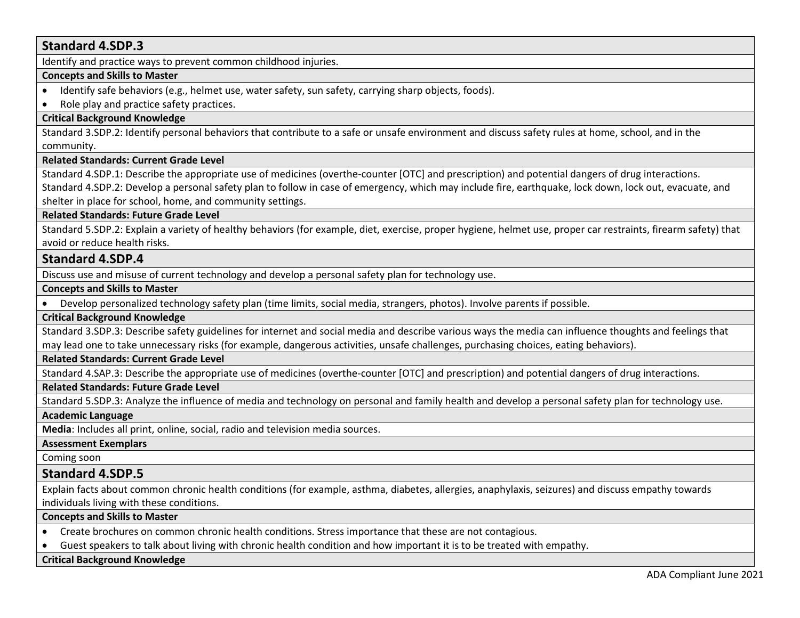### **Standard 4.SDP.3**

Identify and practice ways to prevent common childhood injuries.

### **Concepts and Skills to Master**

- Identify safe behaviors (e.g., helmet use, water safety, sun safety, carrying sharp objects, foods).
- Role play and practice safety practices.

### **Critical Background Knowledge**

Standard 3.SDP.2: Identify personal behaviors that contribute to a safe or unsafe environment and discuss safety rules at home, school, and in the community.

### **Related Standards: Current Grade Level**

Standard 4.SDP.1: Describe the appropriate use of medicines (overthe-counter [OTC] and prescription) and potential dangers of drug interactions. Standard 4.SDP.2: Develop a personal safety plan to follow in case of emergency, which may include fire, earthquake, lock down, lock out, evacuate, and shelter in place for school, home, and community settings.

### **Related Standards: Future Grade Level**

Standard 5.SDP.2: Explain a variety of healthy behaviors (for example, diet, exercise, proper hygiene, helmet use, proper car restraints, firearm safety) that avoid or reduce health risks.

### **Standard 4.SDP.4**

Discuss use and misuse of current technology and develop a personal safety plan for technology use.

### **Concepts and Skills to Master**

• Develop personalized technology safety plan (time limits, social media, strangers, photos). Involve parents if possible.

### **Critical Background Knowledge**

Standard 3.SDP.3: Describe safety guidelines for internet and social media and describe various ways the media can influence thoughts and feelings that may lead one to take unnecessary risks (for example, dangerous activities, unsafe challenges, purchasing choices, eating behaviors).

### **Related Standards: Current Grade Level**

Standard 4.SAP.3: Describe the appropriate use of medicines (overthe-counter [OTC] and prescription) and potential dangers of drug interactions.

### **Related Standards: Future Grade Level**

Standard 5.SDP.3: Analyze the influence of media and technology on personal and family health and develop a personal safety plan for technology use.

### **Academic Language**

**Media**: Includes all print, online, social, radio and television media sources.

### **Assessment Exemplars**

Coming soon

### **Standard 4.SDP.5**

Explain facts about common chronic health conditions (for example, asthma, diabetes, allergies, anaphylaxis, seizures) and discuss empathy towards individuals living with these conditions.

### **Concepts and Skills to Master**

- Create brochures on common chronic health conditions. Stress importance that these are not contagious.
- Guest speakers to talk about living with chronic health condition and how important it is to be treated with empathy.

### **Critical Background Knowledge**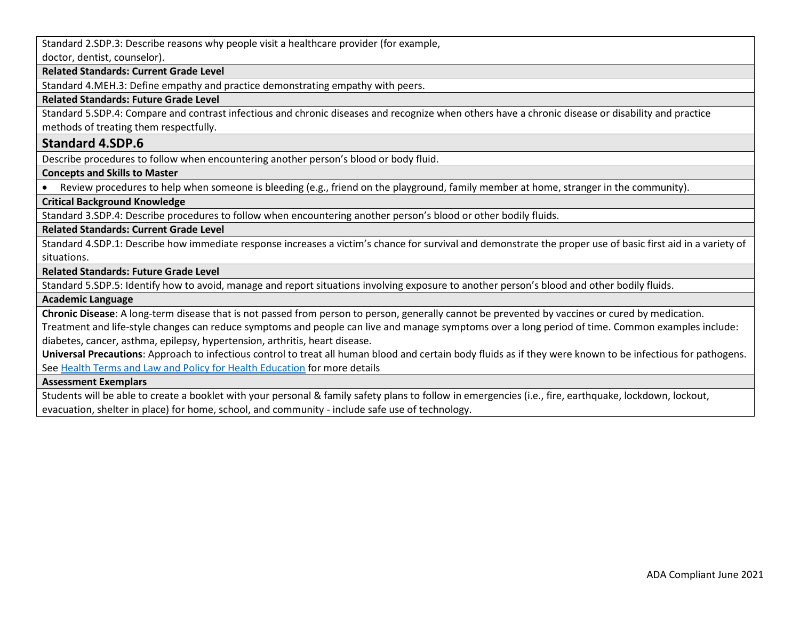Standard 2.SDP.3: Describe reasons why people visit a healthcare provider (for example, doctor, dentist, counselor).

#### **Related Standards: Current Grade Level**

Standard 4.MEH.3: Define empathy and practice demonstrating empathy with peers.

#### **Related Standards: Future Grade Level**

Standard 5.SDP.4: Compare and contrast infectious and chronic diseases and recognize when others have a chronic disease or disability and practice methods of treating them respectfully.

### **Standard 4.SDP.6**

Describe procedures to follow when encountering another person's blood or body fluid.

**Concepts and Skills to Master** 

• Review procedures to help when someone is bleeding (e.g., friend on the playground, family member at home, stranger in the community).

### **Critical Background Knowledge**

Standard 3.SDP.4: Describe procedures to follow when encountering another person's blood or other bodily fluids.

### **Related Standards: Current Grade Level**

Standard 4.SDP.1: Describe how immediate response increases a victim's chance for survival and demonstrate the proper use of basic first aid in a variety of situations.

**Related Standards: Future Grade Level** 

Standard 5.SDP.5: Identify how to avoid, manage and report situations involving exposure to another person's blood and other bodily fluids.

#### **Academic Language**

**Chronic Disease**: A long-term disease that is not passed from person to person, generally cannot be prevented by vaccines or cured by medication.

Treatment and life-style changes can reduce symptoms and people can live and manage symptoms over a long period of time. Common examples include: diabetes, cancer, asthma, epilepsy, hypertension, arthritis, heart disease.

**Universal Precautions**: Approach to infectious control to treat all human blood and certain body fluids as if they were known to be infectious for pathogens. See [Health Terms and Law and Policy for Health Education](https://schools.utah.gov/file/79acf6fe-5e26-4f46-9374-116b785e9147) for more details

#### **Assessment Exemplars**

Students will be able to create a booklet with your personal & family safety plans to follow in emergencies (i.e., fire, earthquake, lockdown, lockout, evacuation, shelter in place) for home, school, and community - include safe use of technology.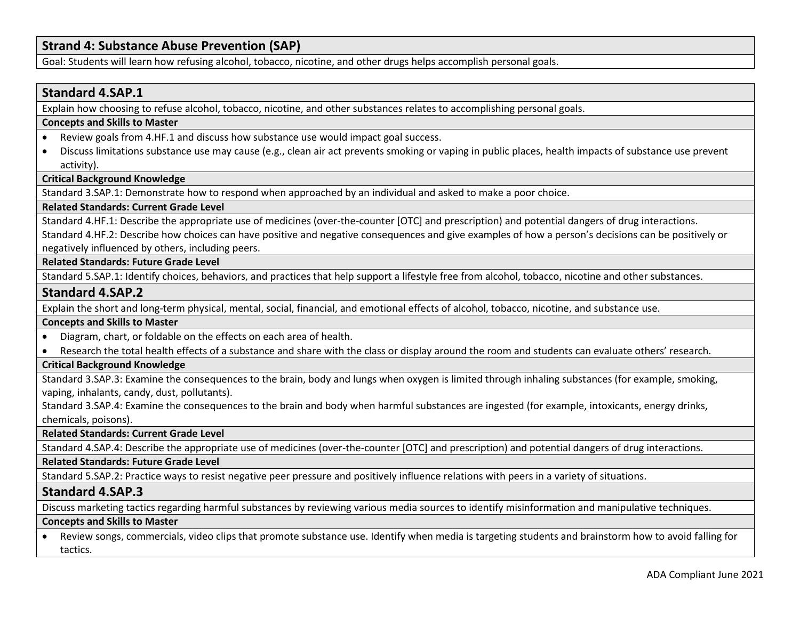### **Strand 4: Substance Abuse Prevention (SAP)**

Goal: Students will learn how refusing alcohol, tobacco, nicotine, and other drugs helps accomplish personal goals.

### **Standard 4.SAP.1**

Explain how choosing to refuse alcohol, tobacco, nicotine, and other substances relates to accomplishing personal goals.

#### **Concepts and Skills to Master**

- Review goals from 4.HF.1 and discuss how substance use would impact goal success.
- Discuss limitations substance use may cause (e.g., clean air act prevents smoking or vaping in public places, health impacts of substance use prevent activity).

### **Critical Background Knowledge**

Standard 3.SAP.1: Demonstrate how to respond when approached by an individual and asked to make a poor choice.

### **Related Standards: Current Grade Level**

Standard 4.HF.1: Describe the appropriate use of medicines (over-the-counter [OTC] and prescription) and potential dangers of drug interactions. Standard 4.HF.2: Describe how choices can have positive and negative consequences and give examples of how a person's decisions can be positively or negatively influenced by others, including peers.

#### **Related Standards: Future Grade Level**

Standard 5.SAP.1: Identify choices, behaviors, and practices that help support a lifestyle free from alcohol, tobacco, nicotine and other substances.

### **Standard 4.SAP.2**

Explain the short and long-term physical, mental, social, financial, and emotional effects of alcohol, tobacco, nicotine, and substance use.

#### **Concepts and Skills to Master**

- Diagram, chart, or foldable on the effects on each area of health.
- Research the total health effects of a substance and share with the class or display around the room and students can evaluate others' research.

### **Critical Background Knowledge**

Standard 3.SAP.3: Examine the consequences to the brain, body and lungs when oxygen is limited through inhaling substances (for example, smoking, vaping, inhalants, candy, dust, pollutants).

Standard 3.SAP.4: Examine the consequences to the brain and body when harmful substances are ingested (for example, intoxicants, energy drinks, chemicals, poisons).

#### **Related Standards: Current Grade Level**

Standard 4.SAP.4: Describe the appropriate use of medicines (over-the-counter [OTC] and prescription) and potential dangers of drug interactions.

### **Related Standards: Future Grade Level**

Standard 5.SAP.2: Practice ways to resist negative peer pressure and positively influence relations with peers in a variety of situations.

### **Standard 4.SAP.3**

Discuss marketing tactics regarding harmful substances by reviewing various media sources to identify misinformation and manipulative techniques.

#### **Concepts and Skills to Master**

• Review songs, commercials, video clips that promote substance use. Identify when media is targeting students and brainstorm how to avoid falling for tactics.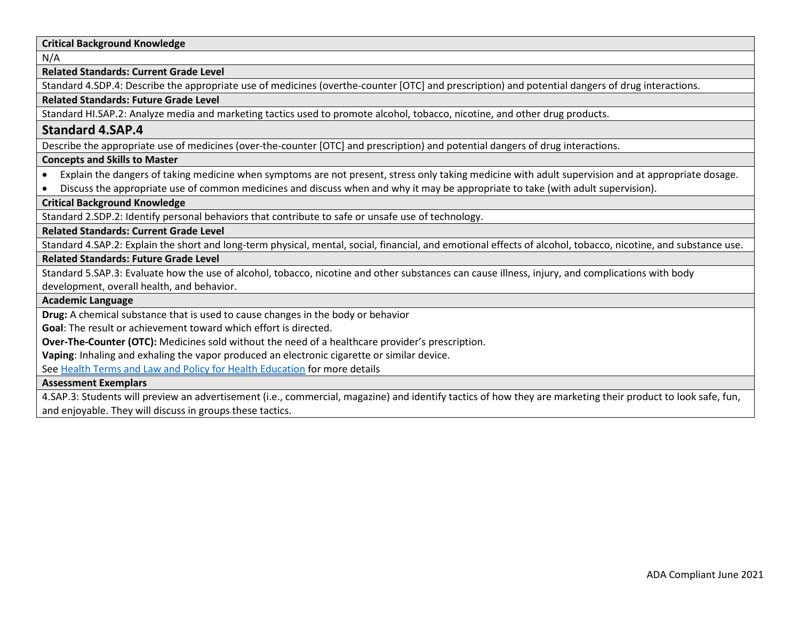### **Critical Background Knowledge**

N/A

#### **Related Standards: Current Grade Level**

Standard 4.SDP.4: Describe the appropriate use of medicines (overthe-counter [OTC] and prescription) and potential dangers of drug interactions.

#### **Related Standards: Future Grade Level**

Standard HI.SAP.2: Analyze media and marketing tactics used to promote alcohol, tobacco, nicotine, and other drug products.

### **Standard 4.SAP.4**

Describe the appropriate use of medicines (over-the-counter [OTC] and prescription) and potential dangers of drug interactions.

### **Concepts and Skills to Master**

- Explain the dangers of taking medicine when symptoms are not present, stress only taking medicine with adult supervision and at appropriate dosage.
- Discuss the appropriate use of common medicines and discuss when and why it may be appropriate to take (with adult supervision).

### **Critical Background Knowledge**

Standard 2.SDP.2: Identify personal behaviors that contribute to safe or unsafe use of technology.

#### **Related Standards: Current Grade Level**

Standard 4.SAP.2: Explain the short and long-term physical, mental, social, financial, and emotional effects of alcohol, tobacco, nicotine, and substance use.

### **Related Standards: Future Grade Level**

Standard 5.SAP.3: Evaluate how the use of alcohol, tobacco, nicotine and other substances can cause illness, injury, and complications with body development, overall health, and behavior.

#### **Academic Language**

**Drug:** A chemical substance that is used to cause changes in the body or behavior

**Goal**: The result or achievement toward which effort is directed.

**Over-The-Counter (OTC):** Medicines sold without the need of a healthcare provider's prescription.

**Vaping**: Inhaling and exhaling the vapor produced an electronic cigarette or similar device.

See [Health Terms and Law and Policy for Health Education](https://schools.utah.gov/file/79acf6fe-5e26-4f46-9374-116b785e9147) for more details

### **Assessment Exemplars**

4.SAP.3: Students will preview an advertisement (i.e., commercial, magazine) and identify tactics of how they are marketing their product to look safe, fun, and enjoyable. They will discuss in groups these tactics.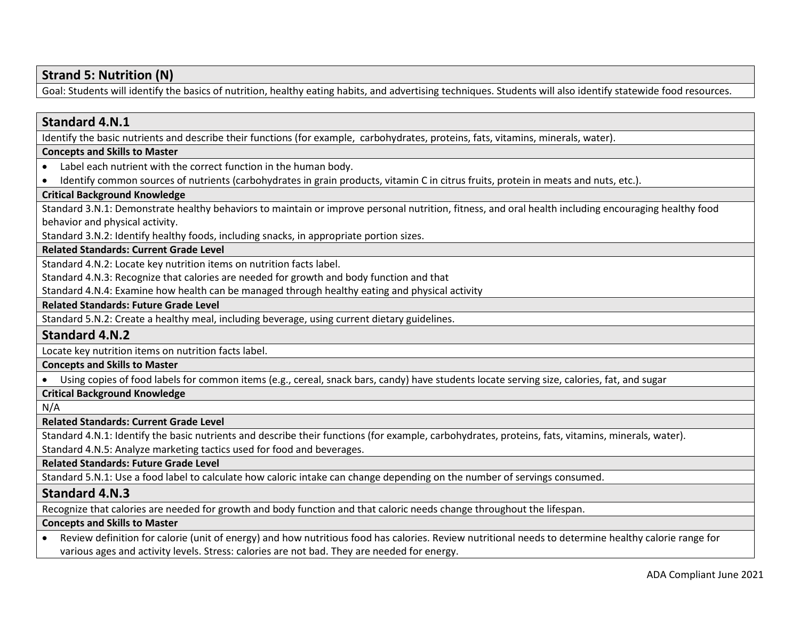# **Strand 5: Nutrition (N)**

Goal: Students will identify the basics of nutrition, healthy eating habits, and advertising techniques. Students will also identify statewide food resources.

### **Standard 4.N.1**

Identify the basic nutrients and describe their functions (for example, carbohydrates, proteins, fats, vitamins, minerals, water).

### **Concepts and Skills to Master**

- Label each nutrient with the correct function in the human body.
- Identify common sources of nutrients (carbohydrates in grain products, vitamin C in citrus fruits, protein in meats and nuts, etc.).

### **Critical Background Knowledge**

Standard 3.N.1: Demonstrate healthy behaviors to maintain or improve personal nutrition, fitness, and oral health including encouraging healthy food behavior and physical activity.

Standard 3.N.2: Identify healthy foods, including snacks, in appropriate portion sizes.

### **Related Standards: Current Grade Level**

Standard 4.N.2: Locate key nutrition items on nutrition facts label.

Standard 4.N.3: Recognize that calories are needed for growth and body function and that

Standard 4.N.4: Examine how health can be managed through healthy eating and physical activity

### **Related Standards: Future Grade Level**

Standard 5.N.2: Create a healthy meal, including beverage, using current dietary guidelines.

### **Standard 4.N.2**

Locate key nutrition items on nutrition facts label.

### **Concepts and Skills to Master**

• Using copies of food labels for common items (e.g., cereal, snack bars, candy) have students locate serving size, calories, fat, and sugar

### **Critical Background Knowledge**

N/A

### **Related Standards: Current Grade Level**

Standard 4.N.1: Identify the basic nutrients and describe their functions (for example, carbohydrates, proteins, fats, vitamins, minerals, water).

Standard 4.N.5: Analyze marketing tactics used for food and beverages.

### **Related Standards: Future Grade Level**

Standard 5.N.1: Use a food label to calculate how caloric intake can change depending on the number of servings consumed.

### **Standard 4.N.3**

Recognize that calories are needed for growth and body function and that caloric needs change throughout the lifespan.

### **Concepts and Skills to Master**

• Review definition for calorie (unit of energy) and how nutritious food has calories. Review nutritional needs to determine healthy calorie range for various ages and activity levels. Stress: calories are not bad. They are needed for energy.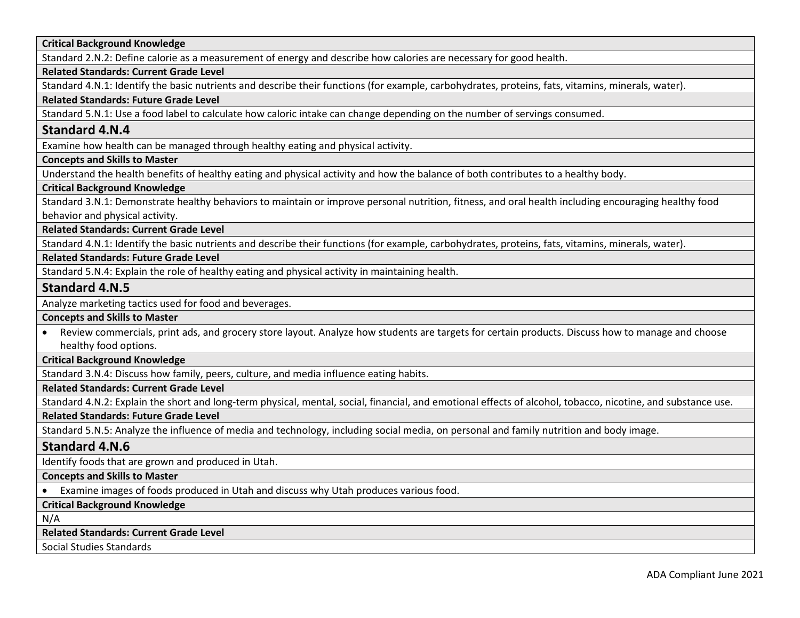| <b>Critical Background Knowledge</b>                                                                               |  |
|--------------------------------------------------------------------------------------------------------------------|--|
| Standard 2.N.2: Define calorie as a measurement of energy and describe how calories are necessary for good health. |  |

### **Related Standards: Current Grade Level**

Standard 4.N.1: Identify the basic nutrients and describe their functions (for example, carbohydrates, proteins, fats, vitamins, minerals, water).

### **Related Standards: Future Grade Level**

Standard 5.N.1: Use a food label to calculate how caloric intake can change depending on the number of servings consumed.

# **Standard 4.N.4**

Examine how health can be managed through healthy eating and physical activity.

### **Concepts and Skills to Master**

Understand the health benefits of healthy eating and physical activity and how the balance of both contributes to a healthy body.

### **Critical Background Knowledge**

Standard 3.N.1: Demonstrate healthy behaviors to maintain or improve personal nutrition, fitness, and oral health including encouraging healthy food behavior and physical activity.

**Related Standards: Current Grade Level**

Standard 4.N.1: Identify the basic nutrients and describe their functions (for example, carbohydrates, proteins, fats, vitamins, minerals, water).

**Related Standards: Future Grade Level** 

Standard 5.N.4: Explain the role of healthy eating and physical activity in maintaining health.

### **Standard 4.N.5**

Analyze marketing tactics used for food and beverages.

### **Concepts and Skills to Master**

• Review commercials, print ads, and grocery store layout. Analyze how students are targets for certain products. Discuss how to manage and choose healthy food options.

### **Critical Background Knowledge**

Standard 3.N.4: Discuss how family, peers, culture, and media influence eating habits.

### **Related Standards: Current Grade Level**

Standard 4.N.2: Explain the short and long-term physical, mental, social, financial, and emotional effects of alcohol, tobacco, nicotine, and substance use.

### **Related Standards: Future Grade Level**

Standard 5.N.5: Analyze the influence of media and technology, including social media, on personal and family nutrition and body image.

### **Standard 4.N.6**

Identify foods that are grown and produced in Utah.

### **Concepts and Skills to Master**

• Examine images of foods produced in Utah and discuss why Utah produces various food.

**Critical Background Knowledge**

N/A

### **Related Standards: Current Grade Level**

Social Studies Standards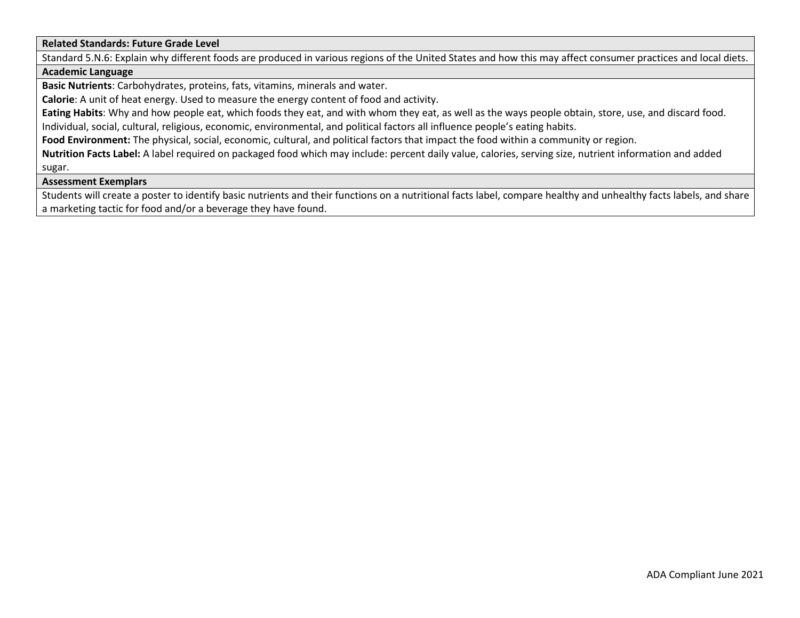### **Related Standards: Future Grade Level**

Standard 5.N.6: Explain why different foods are produced in various regions of the United States and how this may affect consumer practices and local diets.

### **Academic Language**

**Basic Nutrients**: Carbohydrates, proteins, fats, vitamins, minerals and water.

**Calorie**: A unit of heat energy. Used to measure the energy content of food and activity.

**Eating Habits**: Why and how people eat, which foods they eat, and with whom they eat, as well as the ways people obtain, store, use, and discard food.

Individual, social, cultural, religious, economic, environmental, and political factors all influence people's eating habits.

**Food Environment:** The physical, social, economic, cultural, and political factors that impact the food within a community or region.

**Nutrition Facts Label:** A label required on packaged food which may include: percent daily value, calories, serving size, nutrient information and added sugar.

### **Assessment Exemplars**

Students will create a poster to identify basic nutrients and their functions on a nutritional facts label, compare healthy and unhealthy facts labels, and share a marketing tactic for food and/or a beverage they have found.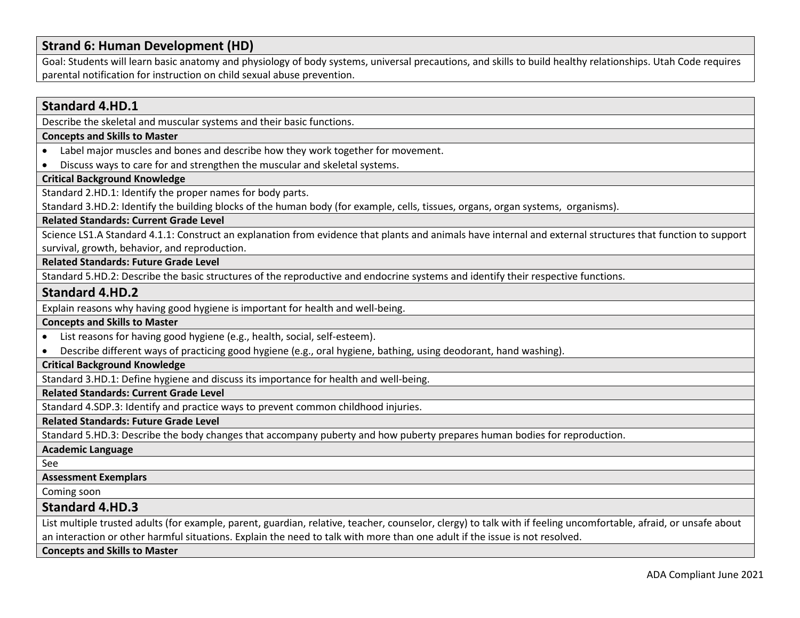# **Strand 6: Human Development (HD)**

Goal: Students will learn basic anatomy and physiology of body systems, universal precautions, and skills to build healthy relationships. Utah Code requires parental notification for instruction on child sexual abuse prevention.

| <b>Standard 4.HD.1</b>                                                                                                                                                                                                                                                                           |
|--------------------------------------------------------------------------------------------------------------------------------------------------------------------------------------------------------------------------------------------------------------------------------------------------|
| Describe the skeletal and muscular systems and their basic functions.                                                                                                                                                                                                                            |
| <b>Concepts and Skills to Master</b>                                                                                                                                                                                                                                                             |
| Label major muscles and bones and describe how they work together for movement.                                                                                                                                                                                                                  |
| Discuss ways to care for and strengthen the muscular and skeletal systems.<br>$\bullet$                                                                                                                                                                                                          |
| <b>Critical Background Knowledge</b>                                                                                                                                                                                                                                                             |
| Standard 2.HD.1: Identify the proper names for body parts.                                                                                                                                                                                                                                       |
| Standard 3.HD.2: Identify the building blocks of the human body (for example, cells, tissues, organs, organ systems, organisms).                                                                                                                                                                 |
| <b>Related Standards: Current Grade Level</b>                                                                                                                                                                                                                                                    |
| Science LS1.A Standard 4.1.1: Construct an explanation from evidence that plants and animals have internal and external structures that function to support                                                                                                                                      |
| survival, growth, behavior, and reproduction.                                                                                                                                                                                                                                                    |
| <b>Related Standards: Future Grade Level</b>                                                                                                                                                                                                                                                     |
| Standard 5.HD.2: Describe the basic structures of the reproductive and endocrine systems and identify their respective functions.                                                                                                                                                                |
| <b>Standard 4.HD.2</b>                                                                                                                                                                                                                                                                           |
| Explain reasons why having good hygiene is important for health and well-being.                                                                                                                                                                                                                  |
| <b>Concepts and Skills to Master</b>                                                                                                                                                                                                                                                             |
| List reasons for having good hygiene (e.g., health, social, self-esteem).                                                                                                                                                                                                                        |
| Describe different ways of practicing good hygiene (e.g., oral hygiene, bathing, using deodorant, hand washing).                                                                                                                                                                                 |
| <b>Critical Background Knowledge</b>                                                                                                                                                                                                                                                             |
| Standard 3.HD.1: Define hygiene and discuss its importance for health and well-being.                                                                                                                                                                                                            |
| <b>Related Standards: Current Grade Level</b>                                                                                                                                                                                                                                                    |
| Standard 4.SDP.3: Identify and practice ways to prevent common childhood injuries.                                                                                                                                                                                                               |
| <b>Related Standards: Future Grade Level</b>                                                                                                                                                                                                                                                     |
| Standard 5.HD.3: Describe the body changes that accompany puberty and how puberty prepares human bodies for reproduction.                                                                                                                                                                        |
| <b>Academic Language</b>                                                                                                                                                                                                                                                                         |
| See                                                                                                                                                                                                                                                                                              |
| <b>Assessment Exemplars</b>                                                                                                                                                                                                                                                                      |
| Coming soon                                                                                                                                                                                                                                                                                      |
| <b>Standard 4.HD.3</b>                                                                                                                                                                                                                                                                           |
| List multiple trusted adults (for example, parent, guardian, relative, teacher, counselor, clergy) to talk with if feeling uncomfortable, afraid, or unsafe about<br>an interaction or other harmful situations. Explain the need to talk with more than one adult if the issue is not resolved. |
| <b>Concepts and Skills to Master</b>                                                                                                                                                                                                                                                             |
|                                                                                                                                                                                                                                                                                                  |